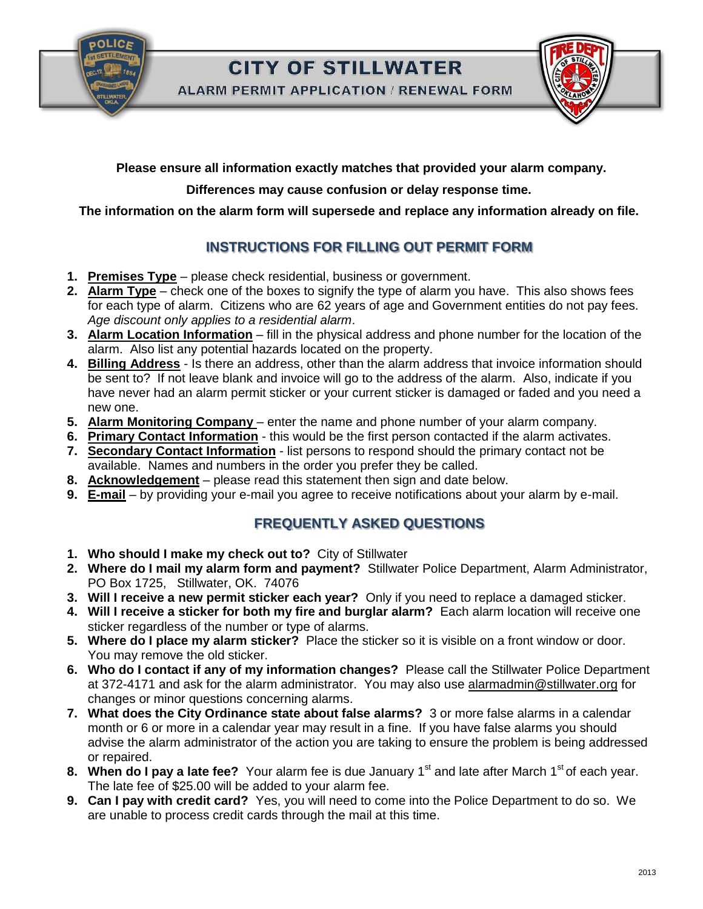**CITY OF STILLWATER** 

**ALARM PERMIT APPLICATION / RENEWAL FORM** 



**Please ensure all information exactly matches that provided your alarm company.**

## **Differences may cause confusion or delay response time.**

**The information on the alarm form will supersede and replace any information already on file.**

## **INSTRUCTIONS FOR FILLING OUT PERMIT FORM**

- **1. Premises Type** please check residential, business or government.
- **2. Alarm Type** check one of the boxes to signify the type of alarm you have. This also shows fees for each type of alarm. Citizens who are 62 years of age and Government entities do not pay fees. *Age discount only applies to a residential alarm*.
- **3. Alarm Location Information** fill in the physical address and phone number for the location of the alarm. Also list any potential hazards located on the property.
- **4. Billing Address** Is there an address, other than the alarm address that invoice information should be sent to? If not leave blank and invoice will go to the address of the alarm. Also, indicate if you have never had an alarm permit sticker or your current sticker is damaged or faded and you need a new one.
- **5. Alarm Monitoring Company** enter the name and phone number of your alarm company.
- **6. Primary Contact Information** this would be the first person contacted if the alarm activates.
- **7. Secondary Contact Information** list persons to respond should the primary contact not be available. Names and numbers in the order you prefer they be called.
- **8. Acknowledgement** please read this statement then sign and date below.
- **9. E-mail** by providing your e-mail you agree to receive notifications about your alarm by e-mail.

## **FREQUENTLY ASKED QUESTIONS**

- **1. Who should I make my check out to?** City of Stillwater
- **2. Where do I mail my alarm form and payment?** Stillwater Police Department, Alarm Administrator, PO Box 1725, Stillwater, OK. 74076
- **3. Will I receive a new permit sticker each year?** Only if you need to replace a damaged sticker.
- **4. Will I receive a sticker for both my fire and burglar alarm?** Each alarm location will receive one sticker regardless of the number or type of alarms.
- **5. Where do I place my alarm sticker?** Place the sticker so it is visible on a front window or door. You may remove the old sticker.
- **6. Who do I contact if any of my information changes?** Please call the Stillwater Police Department at 372-4171 and ask for the alarm administrator. You may also use alarmadmin@stillwater.org for changes or minor questions concerning alarms.
- **7. What does the City Ordinance state about false alarms?** 3 or more false alarms in a calendar month or 6 or more in a calendar year may result in a fine. If you have false alarms you should advise the alarm administrator of the action you are taking to ensure the problem is being addressed or repaired.
- **8. When do I pay a late fee?** Your alarm fee is due January 1<sup>st</sup> and late after March 1<sup>st</sup> of each year. The late fee of \$25.00 will be added to your alarm fee.
- **9. Can I pay with credit card?** Yes, you will need to come into the Police Department to do so. We are unable to process credit cards through the mail at this time.